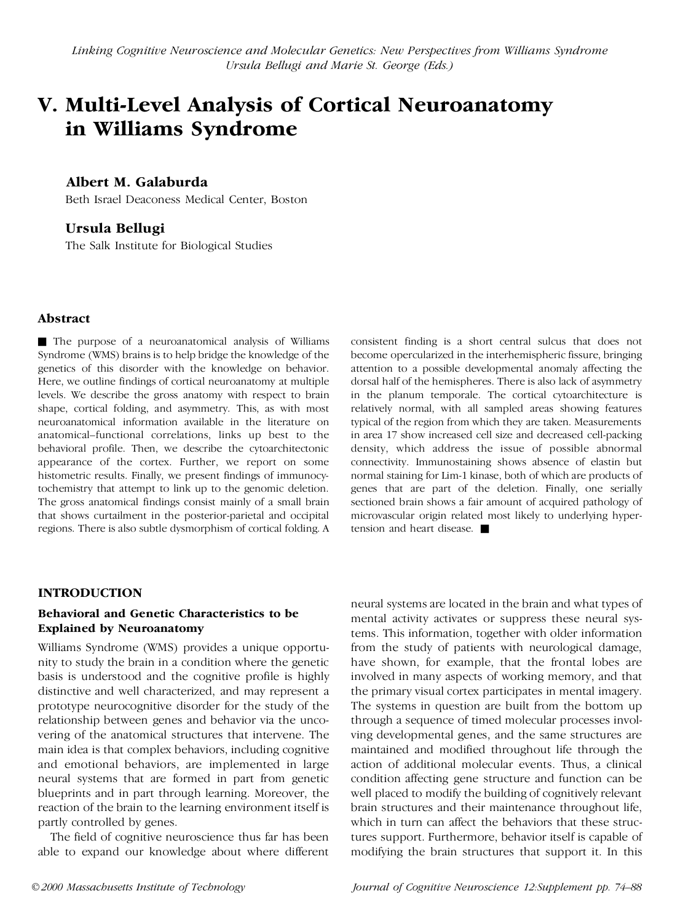*Linking Cognitive Neuroscience and Molecular Genetics: New Perspectives from Williams Syndrome Ursula Bellugi and Marie St. George (Eds.)*

# **V. Multi-Level Analysis of Cortical Neuroanatomy in Williams Syndrome**

### **Albert M. Galaburda**

Beth Israel Deaconess Medical Center, Boston

### **Ursula Bellugi**

The Salk Institute for Biological Studies

#### **Abstract**

& The purpose of a neuroanatomical analysis of Williams Syndrome (WMS) brains is to help bridge the knowledge of the genetics of this disorder with the knowledge on behavior. Here, we outline findings of cortical neuroanatomy at multiple levels. We describe the gross anatomy with respect to brain shape, cortical folding, and asymmetry. This, as with most neuroanatomical information available in the literature on anatomical–functional correlations, links up best to the behavioral profile. Then, we describe the cytoarchitectonic appearance of the cortex. Further, we report on some histometric results. Finally, we present findings of immunocytochemistry that attempt to link up to the genomic deletion. The gross anatomical findings consist mainly of a small brain that shows curtailment in the posterior-parietal and occipital regions. There is also subtle dysmorphism of cortical folding. A consistent finding is a short central sulcus that does not become opercularized in the interhemispheric fissure, bringing attention to a possible developmental anomaly affecting the dorsal half of the hemispheres. There is also lack of asymmetry in the planum temporale. The cortical cytoarchitecture is relatively normal, with all sampled areas showing features typical of the region from which they are taken. Measurements in area 17 show increased cell size and decreased cell-packing density, which address the issue of possible abnormal connectivity. Immunostaining shows absence of elastin but normal staining for Lim-1 kinase, both of which are products of genes that are part of the deletion. Finally, one serially sectioned brain shows a fair amount of acquired pathology of microvascular origin related most likely to underlying hypertension and heart disease.

#### **INTRODUCTION**

### **Behavioral and Genetic Characteristics to be Explained by Neuroanatomy**

Williams Syndrome (WMS) provides a unique opportunity to study the brain in a condition where the genetic basis is understood and the cognitive profile is highly distinctive and well characterized, and may represent a prototype neurocognitive disorder for the study of the relationship between genes and behavior via the uncovering of the anatomical structures that intervene. The main idea is that complex behaviors, including cognitive and emotional behaviors, are implemented in large neural systems that are formed in part from genetic blueprints and in part through learning. Moreover, the reaction of the brain to the learning environment itself is partly controlled by genes.

The field of cognitive neuroscience thus far has been able to expand our knowledge about where different

neural systems are located in the brain and what types of mental activity activates or suppress these neural systems. This information, together with older information from the study of patients with neurological damage, have shown, for example, that the frontal lobes are involved in many aspects of working memory, and that the primary visual cortex participates in mental imagery. The systems in question are built from the bottom up through a sequence of timed molecular processes involving developmental genes, and the same structures are maintained and modified throughout life through the action of additional molecular events. Thus, a clinical condition affecting gene structure and function can be well placed to modify the building of cognitively relevant brain structures and their maintenance throughout life, which in turn can affect the behaviors that these structures support. Furthermore, behavior itself is capable of modifying the brain structures that support it. In this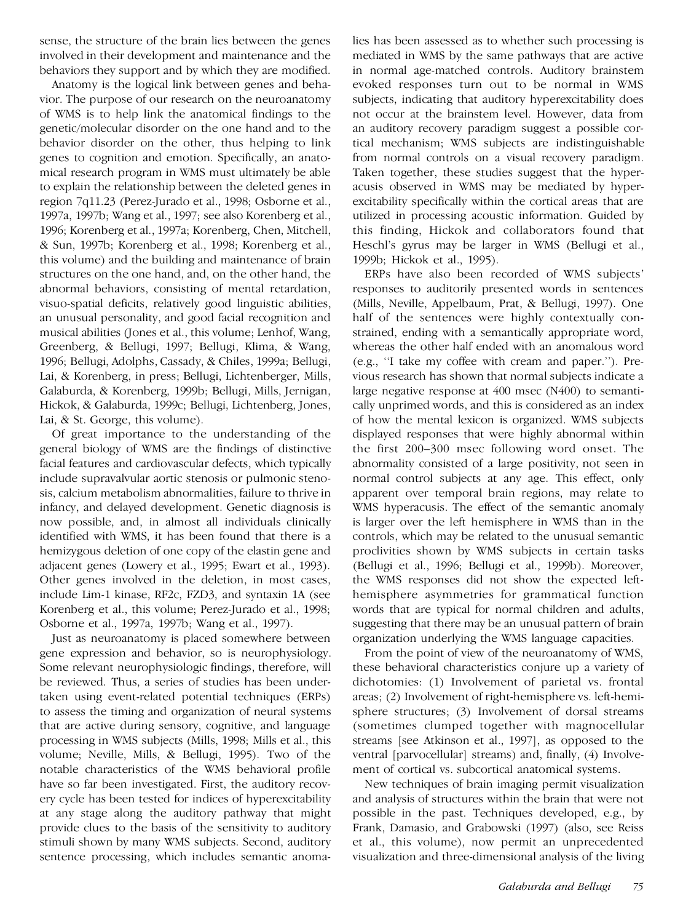sense, the structure of the brain lies between the genes involved in their development and maintenance and the behaviors they support and by which they are modified.

Anatomy is the logical link between genes and behavior. The purpose of our research on the neuroanatomy of WMS is to help link the anatomical findings to the genetic/molecular disorder on the one hand and to the behavior disorder on the other, thus helping to link genes to cognition and emotion. Specifically, an anatomical research program in WMS must ultimately be able to explain the relationship between the deleted genes in region 7q11.23 (Perez-Jurado et al., 1998; Osborne et al., 1997a, 1997b; Wang et al., 1997; see also Korenberg et al., 1996; Korenberg et al., 1997a; Korenberg, Chen, Mitchell, & Sun, 1997b; Korenberg et al., 1998; Korenberg et al., this volume) and the building and maintenance of brain structures on the one hand, and, on the other hand, the abnormal behaviors, consisting of mental retardation, visuo-spatial deficits, relatively good linguistic abilities, an unusual personality, and good facial recognition and musical abilities (Jones et al., this volume; Lenhof, Wang, Greenberg, & Bellugi, 1997; Bellugi, Klima, & Wang, 1996; Bellugi, Adolphs, Cassady, & Chiles, 1999a; Bellugi, Lai, & Korenberg, in press; Bellugi, Lichtenberger, Mills, Galaburda, & Korenberg, 1999b; Bellugi, Mills, Jernigan, Hickok, & Galaburda, 1999c; Bellugi, Lichtenberg, Jones, Lai, & St. George, this volume).

Of great importance to the understanding of the general biology of WMS are the findings of distinctive facial features and cardiovascular defects, which typically include supravalvular aortic stenosis or pulmonic stenosis, calcium metabolism abnormalities, failure to thrive in infancy, and delayed development. Genetic diagnosis is now possible, and, in almost all individuals clinically identified with WMS, it has been found that there is a hemizygous deletion of one copy of the elastin gene and adjacent genes (Lowery et al., 1995; Ewart et al., 1993). Other genes involved in the deletion, in most cases, include Lim-1 kinase, RF2c, FZD3, and syntaxin 1A (see Korenberg et al., this volume; Perez-Jurado et al., 1998; Osborne et al., 1997a, 1997b; Wang et al., 1997).

Just as neuroanatomy is placed somewhere between gene expression and behavior, so is neurophysiology. Some relevant neurophysiologic findings, therefore, will be reviewed. Thus, a series of studies has been undertaken using event-related potential techniques (ERPs) to assess the timing and organization of neural systems that are active during sensory, cognitive, and language processing in WMS subjects (Mills, 1998; Mills et al., this volume; Neville, Mills, & Bellugi, 1995). Two of the notable characteristics of the WMS behavioral profile have so far been investigated. First, the auditory recovery cycle has been tested for indices of hyperexcitability at any stage along the auditory pathway that might provide clues to the basis of the sensitivity to auditory stimuli shown by many WMS subjects. Second, auditory sentence processing, which includes semantic anomalies has been assessed as to whether such processing is mediated in WMS by the same pathways that are active in normal age-matched controls. Auditory brainstem evoked responses turn out to be normal in WMS subjects, indicating that auditory hyperexcitability does not occur at the brainstem level. However, data from an auditory recovery paradigm suggest a possible cortical mechanism; WMS subjects are indistinguishable from normal controls on a visual recovery paradigm. Taken together, these studies suggest that the hyperacusis observed in WMS may be mediated by hyperexcitability specifically within the cortical areas that are utilized in processing acoustic information. Guided by this finding, Hickok and collaborators found that Heschl's gyrus may be larger in WMS (Bellugi et al., 1999b; Hickok et al., 1995).

ERPs have also been recorded of WMS subjects' responses to auditorily presented words in sentences (Mills, Neville, Appelbaum, Prat, & Bellugi, 1997). One half of the sentences were highly contextually constrained, ending with a semantically appropriate word, whereas the other half ended with an anomalous word (e.g., ''I take my coffee with cream and paper.''). Previous research has shown that normal subjects indicate a large negative response at 400 msec (N400) to semantically unprimed words, and this is considered as an index of how the mental lexicon is organized. WMS subjects displayed responses that were highly abnormal within the first 200–300 msec following word onset. The abnormality consisted of a large positivity, not seen in normal control subjects at any age. This effect, only apparent over temporal brain regions, may relate to WMS hyperacusis. The effect of the semantic anomaly is larger over the left hemisphere in WMS than in the controls, which may be related to the unusual semantic proclivities shown by WMS subjects in certain tasks (Bellugi et al., 1996; Bellugi et al., 1999b). Moreover, the WMS responses did not show the expected lefthemisphere asymmetries for grammatical function words that are typical for normal children and adults, suggesting that there may be an unusual pattern of brain organization underlying the WMS language capacities.

From the point of view of the neuroanatomy of WMS, these behavioral characteristics conjure up a variety of dichotomies: (1) Involvement of parietal vs. frontal areas; (2) Involvement of right-hemisphere vs. left-hemisphere structures; (3) Involvement of dorsal streams (sometimes clumped together with magnocellular streams [see Atkinson et al., 1997], as opposed to the ventral [parvocellular] streams) and, finally, (4) Involvement of cortical vs. subcortical anatomical systems.

New techniques of brain imaging permit visualization and analysis of structures within the brain that were not possible in the past. Techniques developed, e.g., by Frank, Damasio, and Grabowski (1997) (also, see Reiss et al., this volume), now permit an unprecedented visualization and three-dimensional analysis of the living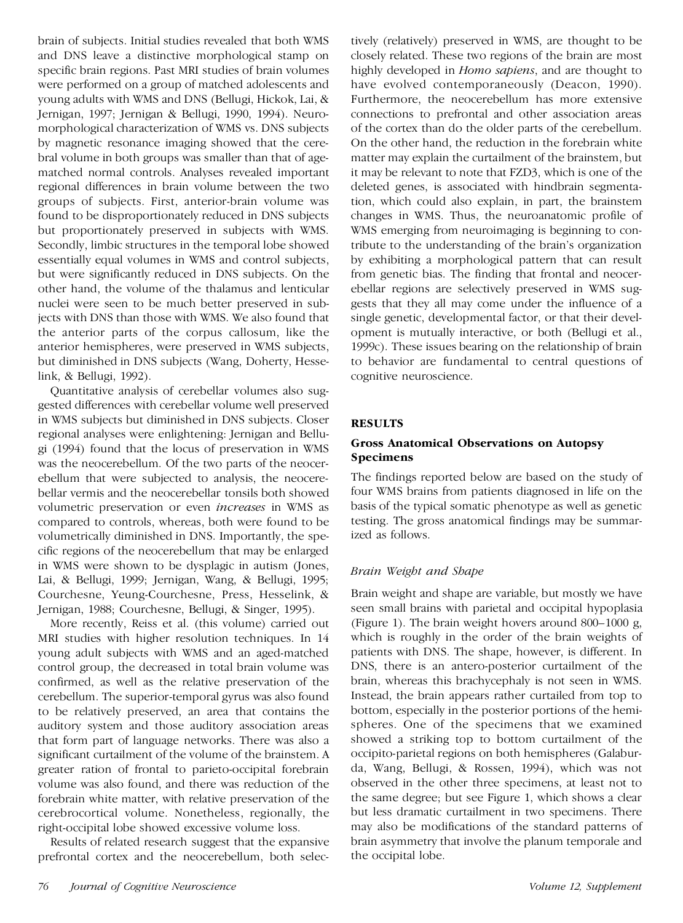brain of subjects. Initial studies revealed that both WMS and DNS leave a distinctive morphological stamp on specific brain regions. Past MRI studies of brain volumes were performed on a group of matched adolescents and young adults with WMS and DNS (Bellugi, Hickok, Lai, & Jernigan, 1997; Jernigan & Bellugi, 1990, 1994). Neuromorphological characterization of WMS vs. DNS subjects by magnetic resonance imaging showed that the cerebral volume in both groups was smaller than that of agematched normal controls. Analyses revealed important regional differences in brain volume between the two groups of subjects. First, anterior-brain volume was found to be disproportionately reduced in DNS subjects but proportionately preserved in subjects with WMS. Secondly, limbic structures in the temporal lobe showed essentially equal volumes in WMS and control subjects, but were significantly reduced in DNS subjects. On the other hand, the volume of the thalamus and lenticular nuclei were seen to be much better preserved in subjects with DNS than those with WMS. We also found that the anterior parts of the corpus callosum, like the anterior hemispheres, were preserved in WMS subjects, but diminished in DNS subjects (Wang, Doherty, Hesselink, & Bellugi, 1992).

Quantitative analysis of cerebellar volumes also suggested differences with cerebellar volume well preserved in WMS subjects but diminished in DNS subjects. Closer regional analyses were enlightening: Jernigan and Bellugi (1994) found that the locus of preservation in WMS was the neocerebellum. Of the two parts of the neocerebellum that were subjected to analysis, the neocerebellar vermis and the neocerebellar tonsils both showed volumetric preservation or even *increases* in WMS as compared to controls, whereas, both were found to be volumetrically diminished in DNS. Importantly, the specific regions of the neocerebellum that may be enlarged in WMS were shown to be dysplagic in autism (Jones, Lai, & Bellugi, 1999; Jernigan, Wang, & Bellugi, 1995; Courchesne, Yeung-Courchesne, Press, Hesselink, & Jernigan, 1988; Courchesne, Bellugi, & Singer, 1995).

More recently, Reiss et al. (this volume) carried out MRI studies with higher resolution techniques. In 14 young adult subjects with WMS and an aged-matched control group, the decreased in total brain volume was confirmed, as well as the relative preservation of the cerebellum. The superior-temporal gyrus was also found to be relatively preserved, an area that contains the auditory system and those auditory association areas that form part of language networks. There was also a significant curtailment of the volume of the brainstem. A greater ration of frontal to parieto-occipital forebrain volume was also found, and there was reduction of the forebrain white matter, with relative preservation of the cerebrocortical volume. Nonetheless, regionally, the right-occipital lobe showed excessive volume loss.

Results of related research suggest that the expansive prefrontal cortex and the neocerebellum, both selectively (relatively) preserved in WMS, are thought to be closely related. These two regions of the brain are most highly developed in *Homo sapiens*, and are thought to have evolved contemporaneously (Deacon, 1990). Furthermore, the neocerebellum has more extensive connections to prefrontal and other association areas of the cortex than do the older parts of the cerebellum. On the other hand, the reduction in the forebrain white matter may explain the curtailment of the brainstem, but it may be relevant to note that FZD3, which is one of the deleted genes, is associated with hindbrain segmentation, which could also explain, in part, the brainstem changes in WMS. Thus, the neuroanatomic profile of WMS emerging from neuroimaging is beginning to contribute to the understanding of the brain's organization by exhibiting a morphological pattern that can result from genetic bias. The finding that frontal and neocerebellar regions are selectively preserved in WMS suggests that they all may come under the influence of a single genetic, developmental factor, or that their development is mutually interactive, or both (Bellugi et al., 1999c). These issues bearing on the relationship of brain to behavior are fundamental to central questions of cognitive neuroscience.

### **RESULTS**

### **Gross Anatomical Observations on Autopsy Specimens**

The findings reported below are based on the study of four WMS brains from patients diagnosed in life on the basis of the typical somatic phenotype as well as genetic testing. The gross anatomical findings may be summarized as follows.

### *Brain Weight and Shape*

Brain weight and shape are variable, but mostly we have seen small brains with parietal and occipital hypoplasia (Figure 1). The brain weight hovers around 800–1000 g, which is roughly in the order of the brain weights of patients with DNS. The shape, however, is different. In DNS, there is an antero-posterior curtailment of the brain, whereas this brachycephaly is not seen in WMS. Instead, the brain appears rather curtailed from top to bottom, especially in the posterior portions of the hemispheres. One of the specimens that we examined showed a striking top to bottom curtailment of the occipito-parietal regions on both hemispheres (Galaburda, Wang, Bellugi, & Rossen, 1994), which was not observed in the other three specimens, at least not to the same degree; but see Figure 1, which shows a clear but less dramatic curtailment in two specimens. There may also be modifications of the standard patterns of brain asymmetry that involve the planum temporale and the occipital lobe.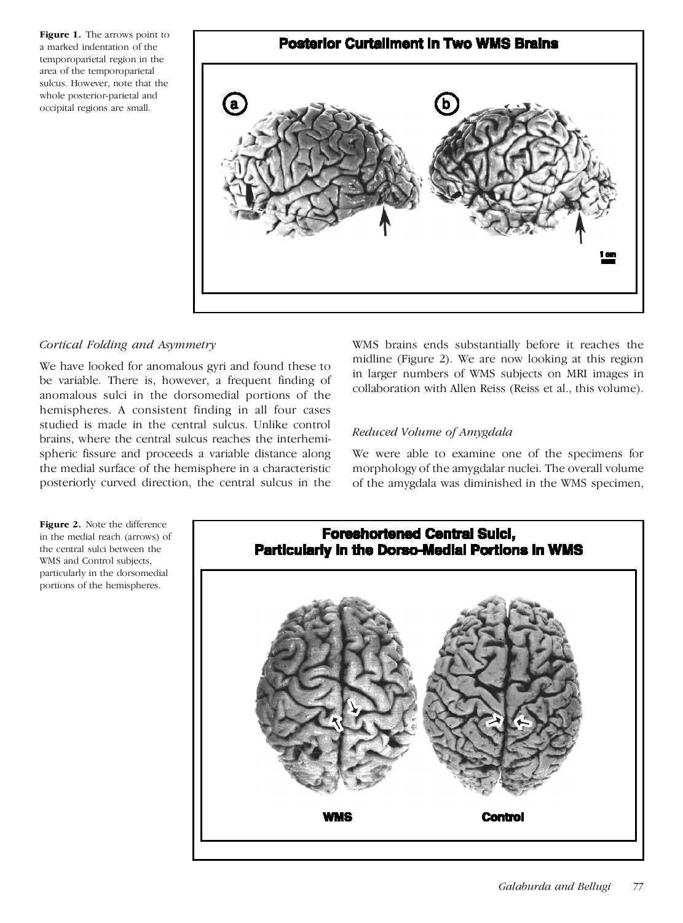**Figure 1.** The arrows point to a marked indentation of the temporoparietal region in the area of the temporoparietal sulcus. However, note that the whole posterior-parietal and occipital regions are small.



### *Cortical Folding and Asymmetry*

We have looked for anomalous gyri and found these to be variable. There is, however, a frequent finding of anomalous sulci in the dorsomedial portions of the hemispheres. A consistent finding in all four cases studied is made in the central sulcus. Unlike control brains, where the central sulcus reaches the interhemispheric fissure and proceeds a variable distance along the medial surface of the hemisphere in a characteristic posteriorly curved direction, the central sulcus in the WMS brains ends substantially before it reaches the midline (Figure 2). We are now looking at this region in larger numbers of WMS subjects on MRI images in collaboration with Allen Reiss (Reiss et al., this volume).

#### *Reduced Volume of Amygdala*

We were able to examine one of the specimens for morphology of the amygdalar nuclei. The overall volume of the amygdala was diminished in the WMS specimen,



**Figure 2.** Note the difference in the medial reach (arrows) of the central sulci between the WMS and Control subjects, particularly in the dorsomedial portions of the hemispheres.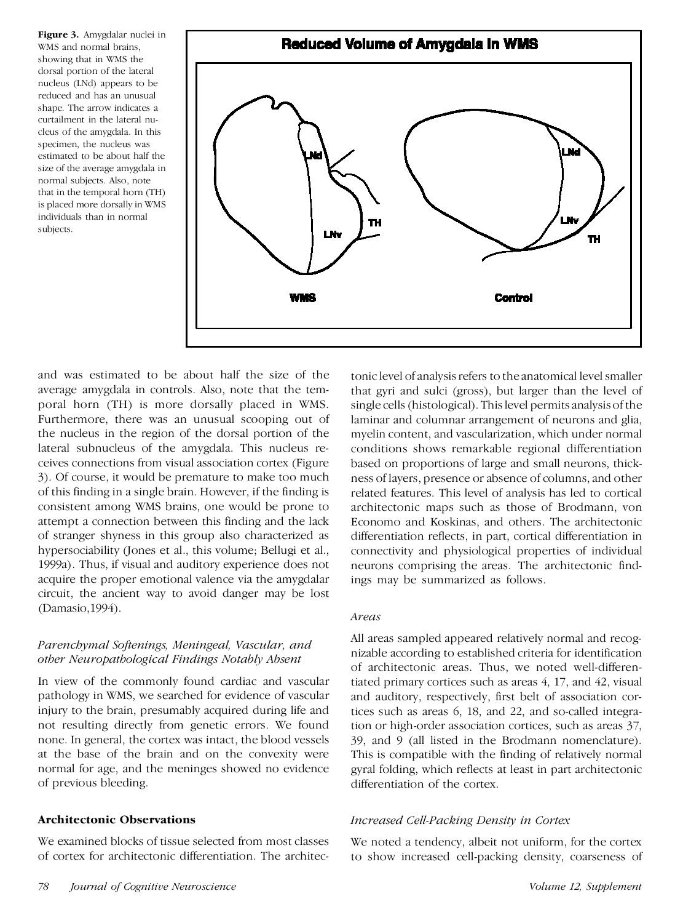**Figure 3.** Amygdalar nuclei in WMS and normal brains, showing that in WMS the dorsal portion of the lateral nucleus (LNd) appears to be reduced and has an unusual shape. The arrow indicates a curtailment in the lateral nu cleus of the amygdala. In this specimen, the nucleus was estimated to be about half the size of the average amygdala in normal subjects. Also, note that in the temporal horn (TH) is placed more dorsally in WMS individuals than in normal subjects.



and was estimated to be about half the size of the average amygdala in controls. Also, note that the temporal horn (TH) is more dorsally placed in WMS. Furthermore, there was an unusual scooping out of the nucleus in the region of the dorsal portion of the lateral subnucleus of the amygdala. This nucleus receives connections from visual association cortex (Figure 3). Of course, it would be premature to make too much of this finding in a single brain. However, if the finding is consistent among WMS brains, one would be prone to attempt a connection between this finding and the lack of stranger shyness in this group also characterized as hypersociability (Jones et al., this volume; Bellugi et al., 1999a). Thus, if visual and auditory experience does not acquire the proper emotional valence via the amygdalar circuit, the ancient way to avoid danger may be lost (Damasio,1994).

### *Parenchymal Softenings, Meningeal, Vascular, and other Neuropathological Findings Notably Absent*

In view of the commonly found cardiac and vascular pathology in WMS, we searched for evidence of vascular injury to the brain, presumably acquired during life and not resulting directly from genetic errors. We found none. In general, the cortex was intact, the blood vessels at the base of the brain and on the convexity were normal for age, and the meninges showed no evidence of previous bleeding.

### **Architectonic Observations**

We examined blocks of tissue selected from most classes of cortex for architectonic differentiation. The architectonic level of analysis refers to the anatomical level smaller that gyri and sulci (gross), but larger than the level of single cells (histological). This level permits analysis of the laminar and columnar arrangement of neurons and glia, myelin content, and vascularization, which under normal conditions shows remarkable regional differentiation based on proportions of large and small neurons, thickness of layers, presence or absence of columns, and other related features. This level of analysis has led to cortical architectonic maps such as those of Brodmann, von Economo and Koskinas, and others. The architectonic differentiation reflects, in part, cortical differentiation in connectivity and physiological properties of individual neurons comprising the areas. The architectonic findings may be summarized as follows.

#### *Areas*

All areas sampled appeared relatively normal and recognizable according to established criteria for identification of architectonic areas. Thus, we noted well-differentiated primary cortices such as areas 4, 17, and 42, visual and auditory, respectively, first belt of association cortices such as areas 6, 18, and 22, and so-called integration or high-order association cortices, such as areas 37, 39, and 9 (all listed in the Brodmann nomenclature). This is compatible with the finding of relatively normal gyral folding, which reflects at least in part architectonic differentiation of the cortex.

#### *Increased Cell-Packing Density in Cortex*

We noted a tendency, albeit not uniform, for the cortex to show increased cell-packing density, coarseness of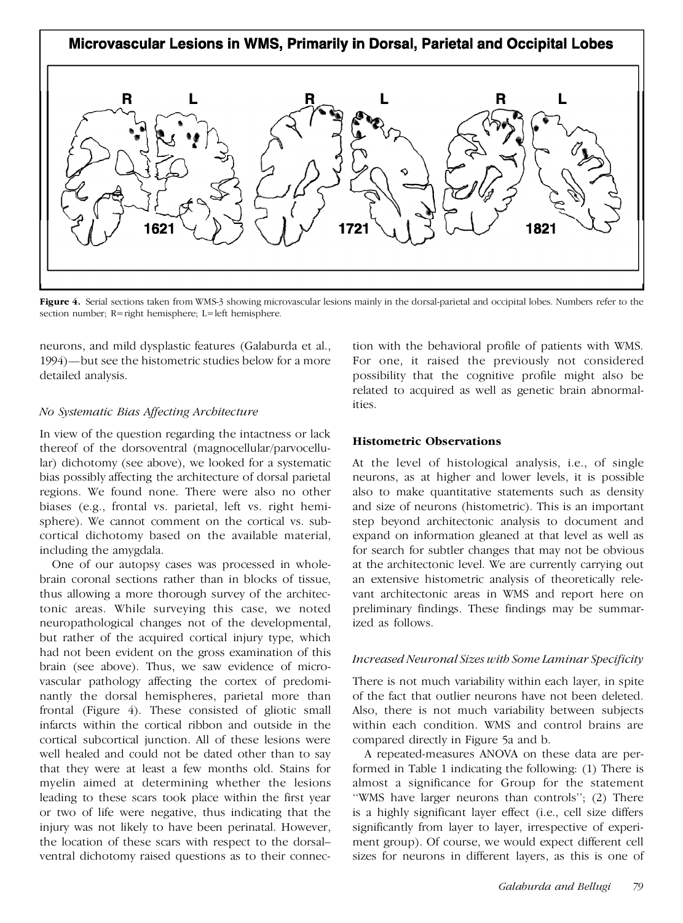### Microvascular Lesions in WMS, Primarily in Dorsal, Parietal and Occipital Lobes



**Figure 4.** Serial sections taken from WMS-3 showing microvascular lesions mainly in the dorsal-parietal and occipital lobes. Numbers refer to the section number; R=right hemisphere; L=left hemisphere.

neurons, and mild dysplastic features (Galaburda et al., 1994)—but see the histometric studies below for a more detailed analysis.

#### *No Systematic Bias Affecting Architecture*

In view of the question regarding the intactness or lack thereof of the dorsoventral (magnocellular/parvocellular) dichotomy (see above), we looked for a systematic bias possibly affecting the architecture of dorsal parietal regions. We found none. There were also no other biases (e.g., frontal vs. parietal, left vs. right hemisphere). We cannot comment on the cortical vs. subcortical dichotomy based on the available material, including the amygdala.

One of our autopsy cases was processed in wholebrain coronal sections rather than in blocks of tissue, thus allowing a more thorough survey of the architectonic areas. While surveying this case, we noted neuropathological changes not of the developmental, but rather of the acquired cortical injury type, which had not been evident on the gross examination of this brain (see above). Thus, we saw evidence of microvascular pathology affecting the cortex of predominantly the dorsal hemispheres, parietal more than frontal (Figure 4). These consisted of gliotic small infarcts within the cortical ribbon and outside in the cortical subcortical junction. All of these lesions were well healed and could not be dated other than to say that they were at least a few months old. Stains for myelin aimed at determining whether the lesions leading to these scars took place within the first year or two of life were negative, thus indicating that the injury was not likely to have been perinatal. However, the location of these scars with respect to the dorsal– ventral dichotomy raised questions as to their connection with the behavioral profile of patients with WMS. For one, it raised the previously not considered possibility that the cognitive profile might also be related to acquired as well as genetic brain abnormalities.

#### **Histometric Observations**

At the level of histological analysis, i.e., of single neurons, as at higher and lower levels, it is possible also to make quantitative statements such as density and size of neurons (histometric). This is an important step beyond architectonic analysis to document and expand on information gleaned at that level as well as for search for subtler changes that may not be obvious at the architectonic level. We are currently carrying out an extensive histometric analysis of theoretically relevant architectonic areas in WMS and report here on preliminary findings. These findings may be summarized as follows.

#### *Increased Neuronal Sizes with Some Laminar Specificity*

There is not much variability within each layer, in spite of the fact that outlier neurons have not been deleted. Also, there is not much variability between subjects within each condition. WMS and control brains are compared directly in Figure 5a and b.

A repeated-measures ANOVA on these data are performed in Table 1 indicating the following: (1) There is almost a significance for Group for the statement "WMS have larger neurons than controls"; (2) There is a highly significant layer effect (i.e., cell size differs significantly from layer to layer, irrespective of experiment group). Of course, we would expect different cell sizes for neurons in different layers, as this is one of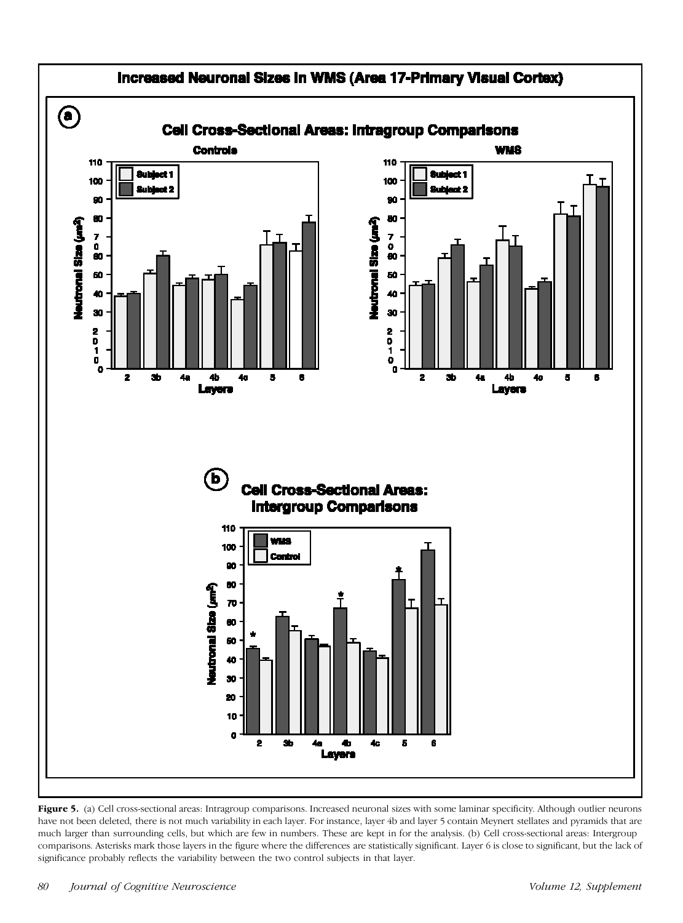

Figure 5. (a) Cell cross-sectional areas: Intragroup comparisons. Increased neuronal sizes with some laminar specificity. Although outlier neurons have not been deleted, there is not much variability in each layer. For instance, layer 4b and layer 5 contain Meynert stellates and pyramids that are much larger than surrounding cells, but which are few in numbers. These are kept in for the analysis. (b) Cell cross-sectional areas: Intergroup comparisons. Asterisks mark those layers in the figure where the differences are statistically significant. Layer 6 is close to significant, but the lack of significance probably reflects the variability between the two control subjects in that layer.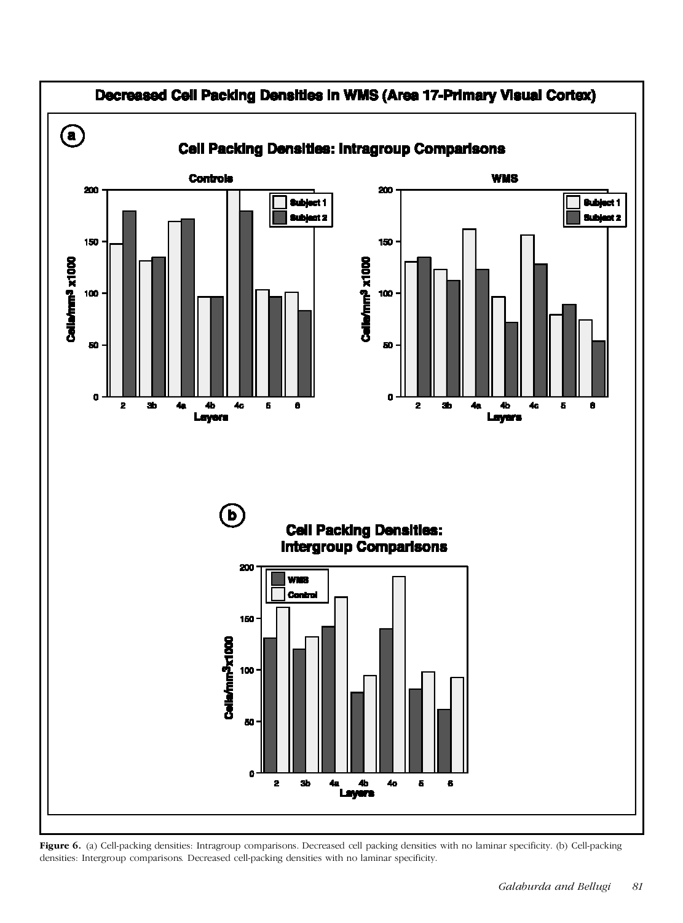

Figure 6. (a) Cell-packing densities: Intragroup comparisons. Decreased cell packing densities with no laminar specificity. (b) Cell-packing densities: Intergroup comparisons*.* Decreased cell-packing densities with no laminar specificity.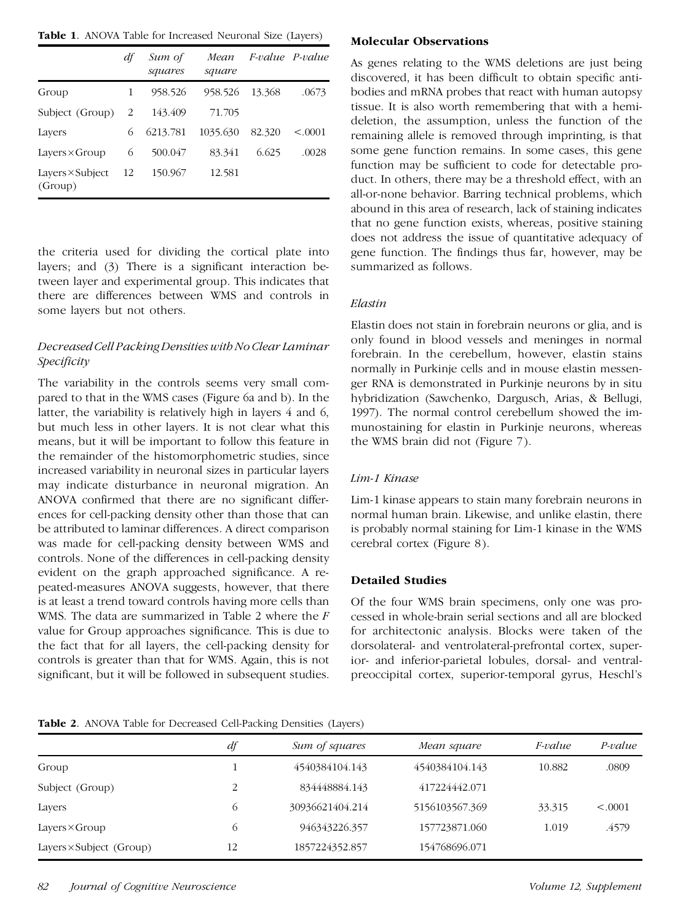**Table 1**. ANOVA Table for Increased Neuronal Size (Layers)

|                                    | df | Sum of<br>squares | Mean<br>square | <i>F-value P-value</i> |          |
|------------------------------------|----|-------------------|----------------|------------------------|----------|
| Group                              | 1  | 958.526           | 958.526        | 13.368                 | .0673    |
| Subject (Group)                    | 2  | 143.409           | 71.705         |                        |          |
| Layers                             | 6  | 6213.781          | 1035.630       | 82.320                 | < 0.0001 |
| Layers $\times$ Group              | 6  | 500.047           | 83.341         | 6.625                  | .0028    |
| $Layers \times Subject$<br>(Group) | 12 | 150.967           | 12.581         |                        |          |

the criteria used for dividing the cortical plate into layers; and (3) There is a significant interaction between layer and experimental group. This indicates that there are differences between WMS and controls in some layers but not others.

### *DecreasedCell Packing Densities with No Clear Laminar Specificity*

The variability in the controls seems very small compared to that in the WMS cases (Figure 6a and b). In the latter, the variability is relatively high in layers 4 and 6, but much less in other layers. It is not clear what this means, but it will be important to follow this feature in the remainder of the histomorphometric studies, since increased variability in neuronal sizes in particular layers may indicate disturbance in neuronal migration. An ANOVA confirmed that there are no significant differences for cell-packing density other than those that can be attributed to laminar differences. A direct comparison was made for cell-packing density between WMS and controls. None of the differences in cell-packing density evident on the graph approached significance. A repeated-measures ANOVA suggests, however, that there is at least a trend toward controls having more cells than WMS. The data are summarized in Table 2 where the *F* value for Group approaches significance. This is due to the fact that for all layers, the cell-packing density for controls is greater than that for WMS. Again, this is not significant, but it will be followed in subsequent studies.

#### **Molecular Observations**

As genes relating to the WMS deletions are just being discovered, it has been difficult to obtain specific antibodies and mRNA probes that react with human autopsy tissue. It is also worth remembering that with a hemideletion, the assumption, unless the function of the remaining allele is removed through imprinting, is that some gene function remains. In some cases, this gene function may be sufficient to code for detectable product. In others, there may be a threshold effect, with an all-or-none behavior. Barring technical problems, which abound in this area of research, lack of staining indicates that no gene function exists, whereas, positive staining does not address the issue of quantitative adequacy of gene function. The findings thus far, however, may be summarized as follows.

### *Elastin*

Elastin does not stain in forebrain neurons or glia, and is only found in blood vessels and meninges in normal forebrain. In the cerebellum, however, elastin stains normally in Purkinje cells and in mouse elastin messenger RNA is demonstrated in Purkinje neurons by in situ hybridization (Sawchenko, Dargusch, Arias, & Bellugi, 1997). The normal control cerebellum showed the immunostaining for elastin in Purkinje neurons, whereas the WMS brain did not (Figure 7).

### *Lim-1 Kinase*

Lim-1 kinase appears to stain many forebrain neurons in normal human brain. Likewise, and unlike elastin, there is probably normal staining for Lim-1 kinase in the WMS cerebral cortex (Figure 8).

### **Detailed Studies**

Of the four WMS brain specimens, only one was processed in whole-brain serial sections and all are blocked for architectonic analysis. Blocks were taken of the dorsolateral- and ventrolateral-prefrontal cortex, superior- and inferior-parietal lobules, dorsal- and ventralpreoccipital cortex, superior-temporal gyrus, Heschl's

**Table 2**. ANOVA Table for Decreased Cell-Packing Densities (Layers)

|                                 | df | Sum of squares  | Mean square    | <i>F-value</i> | P-value  |
|---------------------------------|----|-----------------|----------------|----------------|----------|
|                                 |    |                 |                |                |          |
| Group                           |    | 4540384104.143  | 4540384104.143 | 10.882         | .0809    |
| Subject (Group)                 |    | 834448884.143   | 417224442.071  |                |          |
| Layers                          | 6  | 30936621404.214 | 5156103567.369 | 33.315         | < 0.0001 |
| Layers $\times$ Group           | 6  | 946343226.357   | 157723871.060  | 1.019          | .4579    |
| Layers $\times$ Subject (Group) | 12 | 1857224352.857  | 154768696.071  |                |          |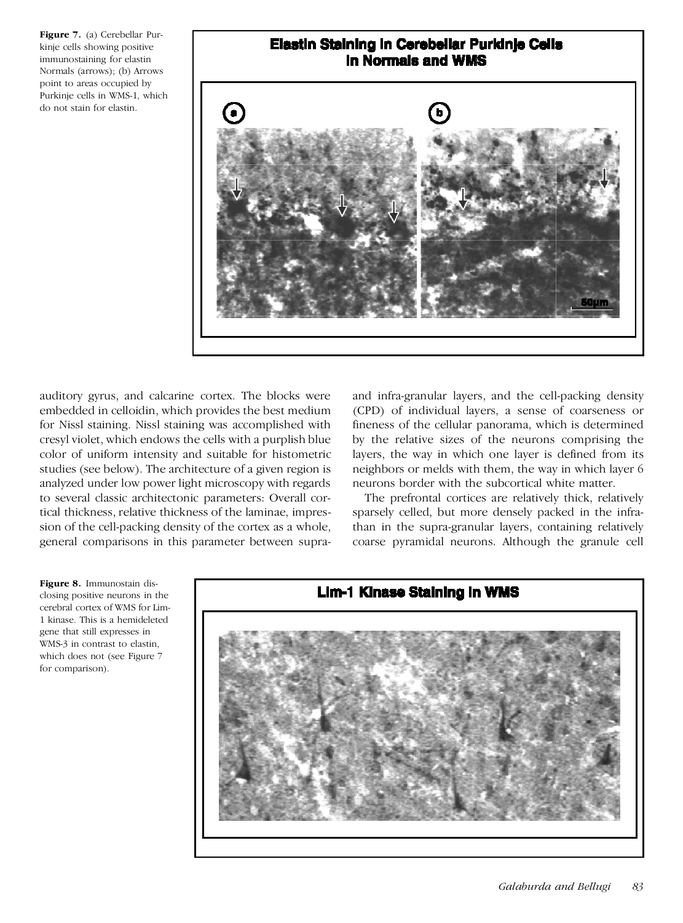**Figure 7.** (a) Cerebellar Purkinje cells showing positive immunostaining for elastin Normals (arrows); (b) Arrows point to areas occupied by Purkinje cells in WMS-1, which do not stain for elastin.

## Elastin Staining in Cerebellar Purkinje Cells in Normals and WMS



auditory gyrus, and calcarine cortex. The blocks were embedded in celloidin, which provides the best medium for Nissl staining. Nissl staining was accomplished with cresyl violet, which endows the cells with a purplish blue color of uniform intensity and suitable for histometric studies (see below). The architecture of a given region is analyzed under low power light microscopy with regards to several classic architectonic parameters: Overall cortical thickness, relative thickness of the laminae, impression of the cell-packing density of the cortex as a whole, general comparisons in this parameter between supraand infra-granular layers, and the cell-packing density (CPD) of individual layers, a sense of coarseness or fineness of the cellular panorama, which is determined by the relative sizes of the neurons comprising the layers, the way in which one layer is defined from its neighbors or melds with them, the way in which layer 6 neurons border with the subcortical white matter.

The prefrontal cortices are relatively thick, relatively sparsely celled, but more densely packed in the infrathan in the supra-granular layers, containing relatively coarse pyramidal neurons. Although the granule cell

**Figure 8.** Immunostain disclosing positive neurons in the cerebral cortex of WMS for Lim-1 kinase. This is a hemideleted gene that still expresses in WMS-3 in contrast to elastin, which does not (see Figure 7 for comparison).

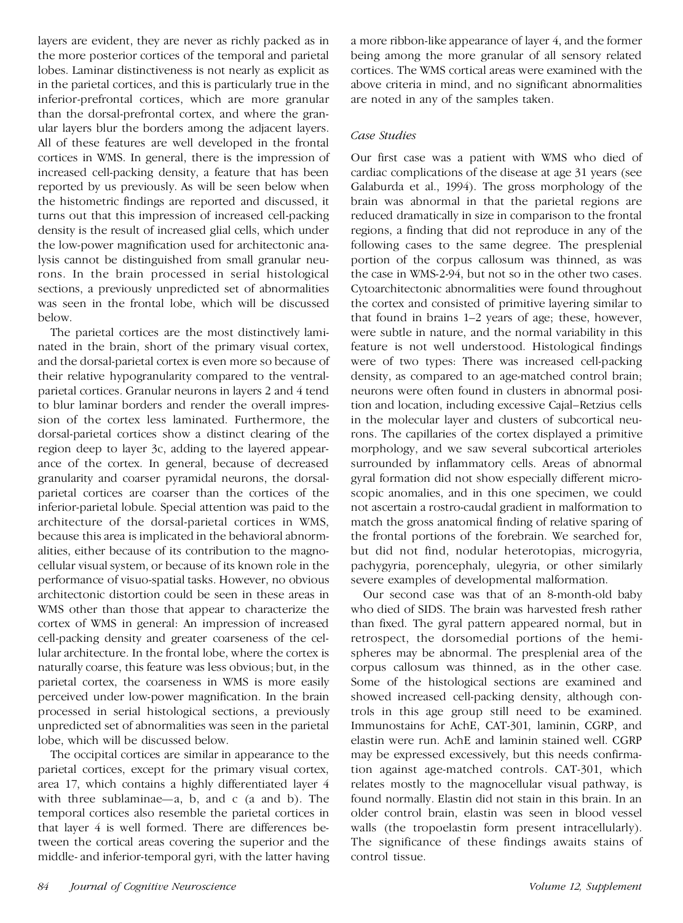layers are evident, they are never as richly packed as in the more posterior cortices of the temporal and parietal lobes. Laminar distinctiveness is not nearly as explicit as in the parietal cortices, and this is particularly true in the inferior-prefrontal cortices, which are more granular than the dorsal-prefrontal cortex, and where the granular layers blur the borders among the adjacent layers. All of these features are well developed in the frontal cortices in WMS. In general, there is the impression of increased cell-packing density, a feature that has been reported by us previously. As will be seen below when the histometric findings are reported and discussed, it turns out that this impression of increased cell-packing density is the result of increased glial cells, which under the low-power magnification used for architectonic analysis cannot be distinguished from small granular neurons. In the brain processed in serial histological sections, a previously unpredicted set of abnormalities was seen in the frontal lobe, which will be discussed below.

The parietal cortices are the most distinctively laminated in the brain, short of the primary visual cortex, and the dorsal-parietal cortex is even more so because of their relative hypogranularity compared to the ventralparietal cortices. Granular neurons in layers 2 and 4 tend to blur laminar borders and render the overall impression of the cortex less laminated. Furthermore, the dorsal-parietal cortices show a distinct clearing of the region deep to layer 3c, adding to the layered appearance of the cortex. In general, because of decreased granularity and coarser pyramidal neurons, the dorsalparietal cortices are coarser than the cortices of the inferior-parietal lobule. Special attention was paid to the architecture of the dorsal-parietal cortices in WMS, because this area is implicated in the behavioral abnormalities, either because of its contribution to the magnocellular visual system, or because of its known role in the performance of visuo-spatial tasks. However, no obvious architectonic distortion could be seen in these areas in WMS other than those that appear to characterize the cortex of WMS in general: An impression of increased cell-packing density and greater coarseness of the cellular architecture. In the frontal lobe, where the cortex is naturally coarse, this feature was less obvious; but, in the parietal cortex, the coarseness in WMS is more easily perceived under low-power magnification. In the brain processed in serial histological sections, a previously unpredicted set of abnormalities was seen in the parietal lobe, which will be discussed below.

The occipital cortices are similar in appearance to the parietal cortices, except for the primary visual cortex, area 17, which contains a highly differentiated layer 4 with three sublaminae—a, b, and c (a and b). The temporal cortices also resemble the parietal cortices in that layer 4 is well formed. There are differences between the cortical areas covering the superior and the middle- and inferior-temporal gyri, with the latter having a more ribbon-like appearance of layer 4, and the former being among the more granular of all sensory related cortices. The WMS cortical areas were examined with the above criteria in mind, and no significant abnormalities are noted in any of the samples taken.

### *Case Studies*

Our first case was a patient with WMS who died of cardiac complications of the disease at age 31 years (see Galaburda et al., 1994). The gross morphology of the brain was abnormal in that the parietal regions are reduced dramatically in size in comparison to the frontal regions, a finding that did not reproduce in any of the following cases to the same degree. The presplenial portion of the corpus callosum was thinned, as was the case in WMS-2-94, but not so in the other two cases. Cytoarchitectonic abnormalities were found throughout the cortex and consisted of primitive layering similar to that found in brains 1–2 years of age; these, however, were subtle in nature, and the normal variability in this feature is not well understood. Histological findings were of two types: There was increased cell-packing density, as compared to an age-matched control brain; neurons were often found in clusters in abnormal position and location, including excessive Cajal–Retzius cells in the molecular layer and clusters of subcortical neurons. The capillaries of the cortex displayed a primitive morphology, and we saw several subcortical arterioles surrounded by inflammatory cells. Areas of abnormal gyral formation did not show especially different microscopic anomalies, and in this one specimen, we could not ascertain a rostro-caudal gradient in malformation to match the gross anatomical finding of relative sparing of the frontal portions of the forebrain. We searched for, but did not find, nodular heterotopias, microgyria, pachygyria, porencephaly, ulegyria, or other similarly severe examples of developmental malformation.

Our second case was that of an 8-month-old baby who died of SIDS. The brain was harvested fresh rather than fixed. The gyral pattern appeared normal, but in retrospect, the dorsomedial portions of the hemispheres may be abnormal. The presplenial area of the corpus callosum was thinned, as in the other case. Some of the histological sections are examined and showed increased cell-packing density, although controls in this age group still need to be examined. Immunostains for AchE, CAT-301, laminin, CGRP, and elastin were run. AchE and laminin stained well. CGRP may be expressed excessively, but this needs confirmation against age-matched controls. CAT-301, which relates mostly to the magnocellular visual pathway, is found normally. Elastin did not stain in this brain. In an older control brain, elastin was seen in blood vessel walls (the tropoelastin form present intracellularly). The significance of these findings awaits stains of control tissue.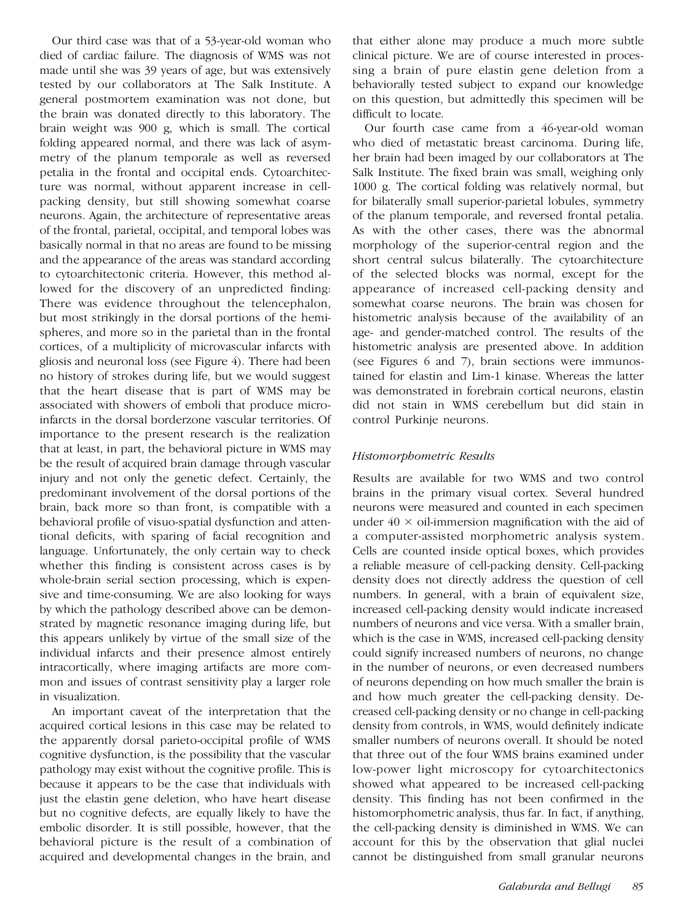Our third case was that of a 53-year-old woman who died of cardiac failure. The diagnosis of WMS was not made until she was 39 years of age, but was extensively tested by our collaborators at The Salk Institute. A general postmortem examination was not done, but the brain was donated directly to this laboratory. The brain weight was 900 g, which is small. The cortical folding appeared normal, and there was lack of asymmetry of the planum temporale as well as reversed petalia in the frontal and occipital ends. Cytoarchitecture was normal, without apparent increase in cellpacking density, but still showing somewhat coarse neurons. Again, the architecture of representative areas of the frontal, parietal, occipital, and temporal lobes was basically normal in that no areas are found to be missing and the appearance of the areas was standard according to cytoarchitectonic criteria. However, this method allowed for the discovery of an unpredicted finding: There was evidence throughout the telencephalon, but most strikingly in the dorsal portions of the hemispheres, and more so in the parietal than in the frontal cortices, of a multiplicity of microvascular infarcts with gliosis and neuronal loss (see Figure 4). There had been no history of strokes during life, but we would suggest that the heart disease that is part of WMS may be associated with showers of emboli that produce microinfarcts in the dorsal borderzone vascular territories. Of importance to the present research is the realization that at least, in part, the behavioral picture in WMS may be the result of acquired brain damage through vascular injury and not only the genetic defect. Certainly, the predominant involvement of the dorsal portions of the brain, back more so than front, is compatible with a behavioral profile of visuo-spatial dysfunction and attentional deficits, with sparing of facial recognition and language. Unfortunately, the only certain way to check whether this finding is consistent across cases is by whole-brain serial section processing, which is expensive and time-consuming. We are also looking for ways by which the pathology described above can be demonstrated by magnetic resonance imaging during life, but this appears unlikely by virtue of the small size of the individual infarcts and their presence almost entirely intracortically, where imaging artifacts are more common and issues of contrast sensitivity play a larger role in visualization.

An important caveat of the interpretation that the acquired cortical lesions in this case may be related to the apparently dorsal parieto-occipital profile of WMS cognitive dysfunction, is the possibility that the vascular pathology may exist without the cognitive profile. This is because it appears to be the case that individuals with just the elastin gene deletion, who have heart disease but no cognitive defects, are equally likely to have the embolic disorder. It is still possible, however, that the behavioral picture is the result of a combination of acquired and developmental changes in the brain, and that either alone may produce a much more subtle clinical picture. We are of course interested in processing a brain of pure elastin gene deletion from a behaviorally tested subject to expand our knowledge on this question, but admittedly this specimen will be difficult to locate.

Our fourth case came from a 46-year-old woman who died of metastatic breast carcinoma. During life, her brain had been imaged by our collaborators at The Salk Institute. The fixed brain was small, weighing only 1000 g. The cortical folding was relatively normal, but for bilaterally small superior-parietal lobules, symmetry of the planum temporale, and reversed frontal petalia. As with the other cases, there was the abnormal morphology of the superior-central region and the short central sulcus bilaterally. The cytoarchitecture of the selected blocks was normal, except for the appearance of increased cell-packing density and somewhat coarse neurons. The brain was chosen for histometric analysis because of the availability of an age- and gender-matched control. The results of the histometric analysis are presented above. In addition (see Figures 6 and 7), brain sections were immunostained for elastin and Lim-1 kinase. Whereas the latter was demonstrated in forebrain cortical neurons, elastin did not stain in WMS cerebellum but did stain in control Purkinje neurons.

### *Histomorphometric Results*

Results are available for two WMS and two control brains in the primary visual cortex. Several hundred neurons were measured and counted in each specimen under  $40 \times$  oil-immersion magnification with the aid of a computer-assisted morphometric analysis system. Cells are counted inside optical boxes, which provides a reliable measure of cell-packing density. Cell-packing density does not directly address the question of cell numbers. In general, with a brain of equivalent size, increased cell-packing density would indicate increased numbers of neurons and vice versa. With a smaller brain, which is the case in WMS, increased cell-packing density could signify increased numbers of neurons, no change in the number of neurons, or even decreased numbers of neurons depending on how much smaller the brain is and how much greater the cell-packing density. Decreased cell-packing density or no change in cell-packing density from controls, in WMS, would definitely indicate smaller numbers of neurons overall. It should be noted that three out of the four WMS brains examined under low-power light microscopy for cytoarchitectonics showed what appeared to be increased cell-packing density. This finding has not been confirmed in the histomorphometric analysis, thus far. In fact, if anything, the cell-packing density is diminished in WMS. We can account for this by the observation that glial nuclei cannot be distinguished from small granular neurons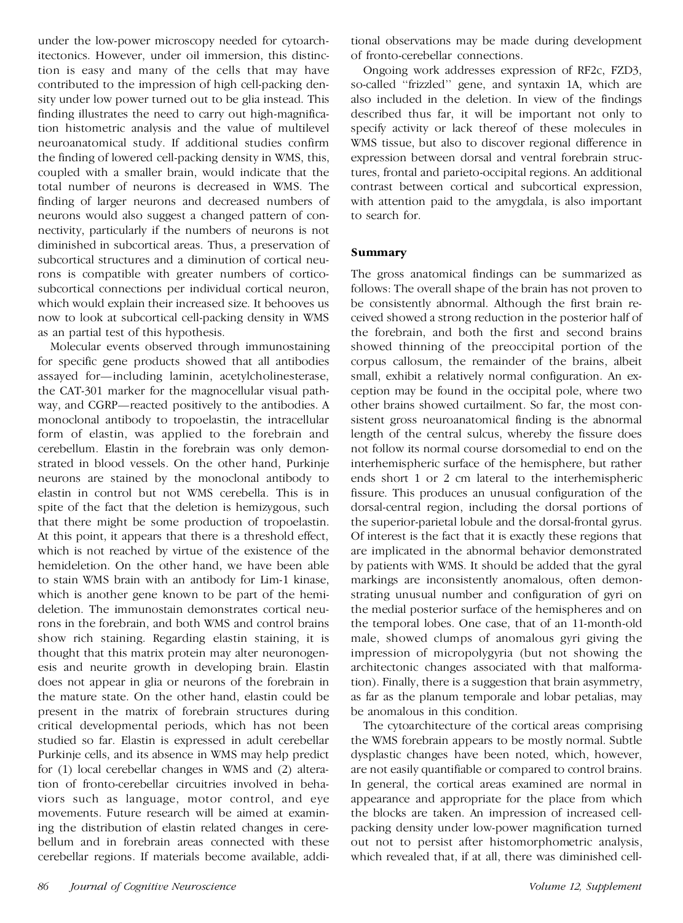under the low-power microscopy needed for cytoarchitectonics. However, under oil immersion, this distinction is easy and many of the cells that may have contributed to the impression of high cell-packing density under low power turned out to be glia instead. This finding illustrates the need to carry out high-magnification histometric analysis and the value of multilevel neuroanatomical study. If additional studies confirm the finding of lowered cell-packing density in WMS, this, coupled with a smaller brain, would indicate that the total number of neurons is decreased in WMS. The finding of larger neurons and decreased numbers of neurons would also suggest a changed pattern of connectivity, particularly if the numbers of neurons is not diminished in subcortical areas. Thus, a preservation of subcortical structures and a diminution of cortical neurons is compatible with greater numbers of corticosubcortical connections per individual cortical neuron, which would explain their increased size. It behooves us now to look at subcortical cell-packing density in WMS as an partial test of this hypothesis.

Molecular events observed through immunostaining for specific gene products showed that all antibodies assayed for—including laminin, acetylcholinesterase, the CAT-301 marker for the magnocellular visual pathway, and CGRP—reacted positively to the antibodies. A monoclonal antibody to tropoelastin, the intracellular form of elastin, was applied to the forebrain and cerebellum. Elastin in the forebrain was only demonstrated in blood vessels. On the other hand, Purkinje neurons are stained by the monoclonal antibody to elastin in control but not WMS cerebella. This is in spite of the fact that the deletion is hemizygous, such that there might be some production of tropoelastin. At this point, it appears that there is a threshold effect, which is not reached by virtue of the existence of the hemideletion. On the other hand, we have been able to stain WMS brain with an antibody for Lim-1 kinase, which is another gene known to be part of the hemideletion. The immunostain demonstrates cortical neurons in the forebrain, and both WMS and control brains show rich staining. Regarding elastin staining, it is thought that this matrix protein may alter neuronogenesis and neurite growth in developing brain. Elastin does not appear in glia or neurons of the forebrain in the mature state. On the other hand, elastin could be present in the matrix of forebrain structures during critical developmental periods, which has not been studied so far. Elastin is expressed in adult cerebellar Purkinje cells, and its absence in WMS may help predict for (1) local cerebellar changes in WMS and (2) alteration of fronto-cerebellar circuitries involved in beha viors such as language, motor control, and eye movements. Future research will be aimed at examining the distribution of elastin related changes in cerebellum and in forebrain areas connected with these cerebellar regions. If materials become available, additional observations may be made during development of fronto-cerebellar connections.

Ongoing work addresses expression of RF2c, FZD3, so-called ''frizzled'' gene, and syntaxin 1A, which are also included in the deletion. In view of the findings described thus far, it will be important not only to specify activity or lack thereof of these molecules in WMS tissue, but also to discover regional difference in expression between dorsal and ventral forebrain structures, frontal and parieto-occipital regions. An additional contrast between cortical and subcortical expression, with attention paid to the amygdala, is also important to search for.

### **Summary**

The gross anatomical findings can be summarized as follows: The overall shape of the brain has not proven to be consistently abnormal. Although the first brain received showed a strong reduction in the posterior half of the forebrain, and both the first and second brains showed thinning of the preoccipital portion of the corpus callosum, the remainder of the brains, albeit small, exhibit a relatively normal configuration. An exception may be found in the occipital pole, where two other brains showed curtailment. So far, the most consistent gross neuroanatomical finding is the abnormal length of the central sulcus, whereby the fissure does not follow its normal course dorsomedial to end on the interhemispheric surface of the hemisphere, but rather ends short 1 or 2 cm lateral to the interhemispheric fissure. This produces an unusual configuration of the dorsal-central region, including the dorsal portions of the superior-parietal lobule and the dorsal-frontal gyrus. Of interest is the fact that it is exactly these regions that are implicated in the abnormal behavior demonstrated by patients with WMS. It should be added that the gyral markings are inconsistently anomalous, often demonstrating unusual number and configuration of gyri on the medial posterior surface of the hemispheres and on the temporal lobes. One case, that of an 11-month-old male, showed clumps of anomalous gyri giving the impression of micropolygyria (but not showing the architectonic changes associated with that malformation). Finally, there is a suggestion that brain asymmetry, as far as the planum temporale and lobar petalias, may be anomalous in this condition.

The cytoarchitecture of the cortical areas comprising the WMS forebrain appears to be mostly normal. Subtle dysplastic changes have been noted, which, however, are not easily quantifiable or compared to control brains. In general, the cortical areas examined are normal in appearance and appropriate for the place from which the blocks are taken. An impression of increased cellpacking density under low-power magnification turned out not to persist after histomorphometric analysis, which revealed that, if at all, there was diminished cell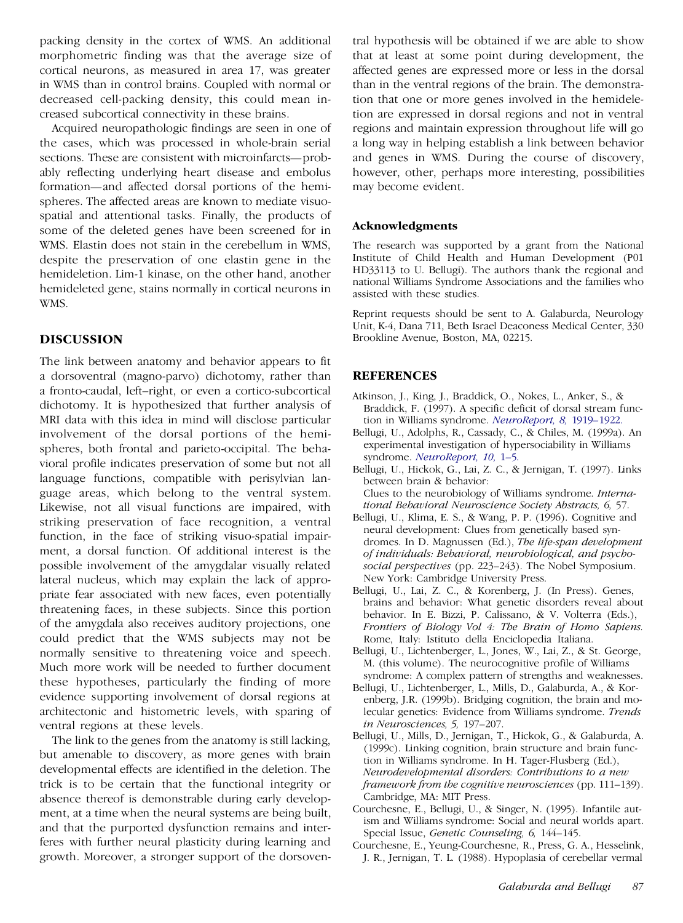packing density in the cortex of WMS. An additional morphometric finding was that the average size of cortical neurons, as measured in area 17, was greater in WMS than in control brains. Coupled with normal or decreased cell-packing density, this could mean increased subcortical connectivity in these brains.

Acquired neuropathologic findings are seen in one of the cases, which was processed in whole-brain serial sections. These are consistent with microinfarcts—probably reflecting underlying heart disease and embolus formation—and affected dorsal portions of the hemispheres. The affected areas are known to mediate visuospatial and attentional tasks. Finally, the products of some of the deleted genes have been screened for in WMS. Elastin does not stain in the cerebellum in WMS, despite the preservation of one elastin gene in the hemideletion. Lim-1 kinase, on the other hand, another hemideleted gene, stains normally in cortical neurons in WMS.

### **DISCUSSION**

The link between anatomy and behavior appears to fit a dorsoventral (magno-parvo) dichotomy, rather than a fronto-caudal, left–right, or even a cortico-subcortical dichotomy. It is hypothesized that further analysis of MRI data with this idea in mind will disclose particular involvement of the dorsal portions of the hemispheres, both frontal and parieto-occipital. The behavioral profile indicates preservation of some but not all language functions, compatible with perisylvian language areas, which belong to the ventral system. Likewise, not all visual functions are impaired, with striking preservation of face recognition, a ventral function, in the face of striking visuo-spatial impairment, a dorsal function. Of additional interest is the possible involvement of the amygdalar visually related lateral nucleus, which may explain the lack of appropriate fear associated with new faces, even potentially threatening faces, in these subjects. Since this portion of the amygdala also receives auditory projections, one could predict that the WMS subjects may not be normally sensitive to threatening voice and speech. Much more work will be needed to further document these hypotheses, particularly the finding of more evidence supporting involvement of dorsal regions at architectonic and histometric levels, with sparing of ventral regions at these levels.

The link to the genes from the anatomy is still lacking, but amenable to discovery, as more genes with brain developmental effects are identified in the deletion. The trick is to be certain that the functional integrity or absence thereof is demonstrable during early development, at a time when the neural systems are being built, and that the purported dysfunction remains and interferes with further neural plasticity during learning and growth. Moreover, a stronger support of the dorsoventral hypothesis will be obtained if we are able to show that at least at some point during development, the affected genes are expressed more or less in the dorsal than in the ventral regions of the brain. The demonstration that one or more genes involved in the hemideletion are expressed in dorsal regions and not in ventral regions and maintain expression throughout life will go a long way in helping establish a link between behavior and genes in WMS. During the course of discovery, however, other, perhaps more interesting, possibilities may become evident.

#### **Acknowledgments**

The research was supported by a grant from the National Institute of Child Health and Human Development (P01 HD33113 to U. Bellugi). The authors thank the regional and national Williams Syndrome Associations and the families who assisted with these studies.

Reprint requests should be sent to A. Galaburda, Neurology Unit, K-4, Dana 711, Beth Israel Deaconess Medical Center, 330 Brookline Avenue, Boston, MA, 02215.

#### **REFERENCES**

- Atkinson, J., King, J., Braddick, O., Nokes, L., Anker, S., & Braddick, F. (1997). A specific deficit of dorsal stream function in Williams syndrome. *[NeuroReport,](http://pinkerton.catchword.com/nw=1/rpsv/0959-4965%5e28%5e298L.1919%5bnlm=9223077%5d) 8,* 1919–1922.
- Bellugi, U., Adolphs, R., Cassady, C., & Chiles, M. (1999a). An experimental investigation of hypersociability in Williams syndrome. *[NeuroReport,](http://pinkerton.catchword.com/nw=1/rpsv/0959-4965%5e28%5e2910L.1%5bcsa=0959-4965%5e26vol=10%5e26iss=1%5e26firstpage=1,nlm=10094123%5d) 10,* 1–5.
- Bellugi, U., Hickok, G., Lai, Z. C., & Jernigan, T. (1997). Links between brain & behavior:
- Clues to the neurobiology of Williams syndrome. *International Behavioral Neuroscience Society Abstracts, 6,* 57.
- Bellugi, U., Klima, E. S., & Wang, P. P. (1996). Cognitive and neural development: Clues from genetically based syndromes. In D. Magnussen (Ed.), *The life-span development of individuals: Behavioral, neurobiological, and psychosocial perspectives* (pp. 223–243). The Nobel Symposium. New York: Cambridge University Press.
- Bellugi, U., Lai, Z. C., & Korenberg, J. (In Press). Genes, brains and behavior: What genetic disorders reveal about behavior. In E. Bizzi, P. Calissano, & V. Volterra (Eds.), *Frontiers of Biology Vol 4: The Brain of Homo Sapiens.* Rome, Italy: Istituto della Enciclopedia Italiana.
- Bellugi, U., Lichtenberger, L., Jones, W., Lai, Z., & St. George, M. (this volume). The neurocognitive profile of Williams syndrome: A complex pattern of strengths and weaknesses.
- Bellugi, U., Lichtenberger, L., Mills, D., Galaburda, A., & Korenberg, J.R. (1999b). Bridging cognition, the brain and molecular genetics: Evidence from Williams syndrome. *Trends in Neurosciences, 5,* 197–207.
- Bellugi, U., Mills, D., Jernigan, T., Hickok, G., & Galaburda, A. (1999c). Linking cognition, brain structure and brain function in Williams syndrome. In H. Tager-Flusberg (Ed.), *Neurodevelopmental disorders: Contributions to a new framework from the cognitive neurosciences* (pp. 111–139). Cambridge, MA: MIT Press.
- Courchesne, E., Bellugi, U., & Singer, N. (1995). Infantile autism and Williams syndrome: Social and neural worlds apart. Special Issue, *Genetic Counseling, 6,* 144–145.
- Courchesne, E., Yeung-Courchesne, R., Press, G. A., Hesselink, J. R., Jernigan, T. L. (1988). Hypoplasia of cerebellar vermal